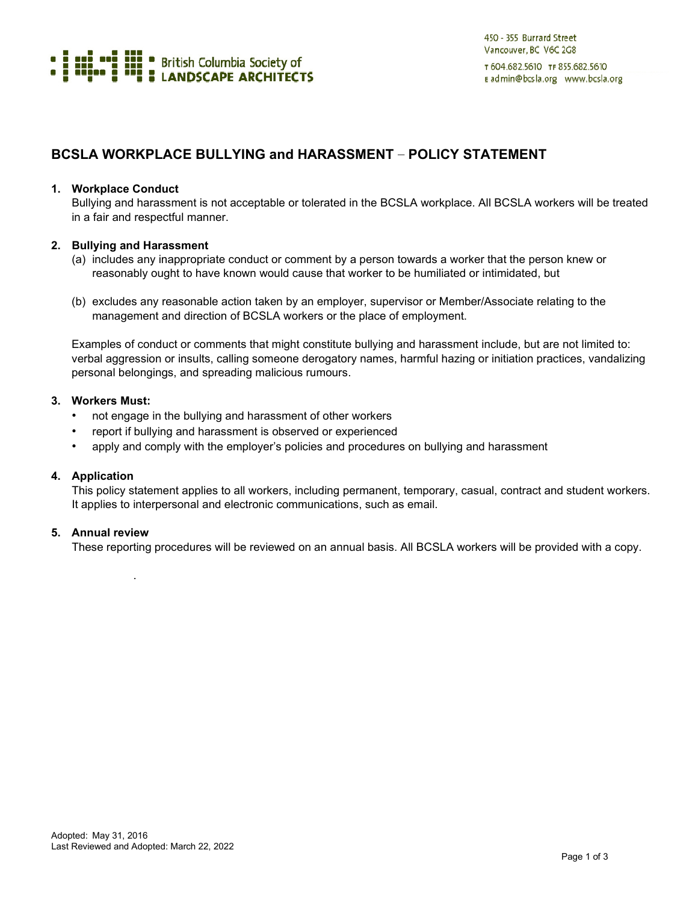

# **BCSLA WORKPLACE BULLYING and HARASSMENT** – **POLICY STATEMENT**

#### **1. Workplace Conduct**

Bullying and harassment is not acceptable or tolerated in the BCSLA workplace. All BCSLA workers will be treated in a fair and respectful manner.

## **2. Bullying and Harassment**

- (a) includes any inappropriate conduct or comment by a person towards a worker that the person knew or reasonably ought to have known would cause that worker to be humiliated or intimidated, but
- (b) excludes any reasonable action taken by an employer, supervisor or Member/Associate relating to the management and direction of BCSLA workers or the place of employment.

Examples of conduct or comments that might constitute bullying and harassment include, but are not limited to: verbal aggression or insults, calling someone derogatory names, harmful hazing or initiation practices, vandalizing personal belongings, and spreading malicious rumours.

#### **3. Workers Must:**

- not engage in the bullying and harassment of other workers
- report if bullying and harassment is observed or experienced
- apply and comply with the employer's policies and procedures on bullying and harassment

#### **4. Application**

This policy statement applies to all workers, including permanent, temporary, casual, contract and student workers. It applies to interpersonal and electronic communications, such as email.

## **5. Annual review**

.

These reporting procedures will be reviewed on an annual basis. All BCSLA workers will be provided with a copy.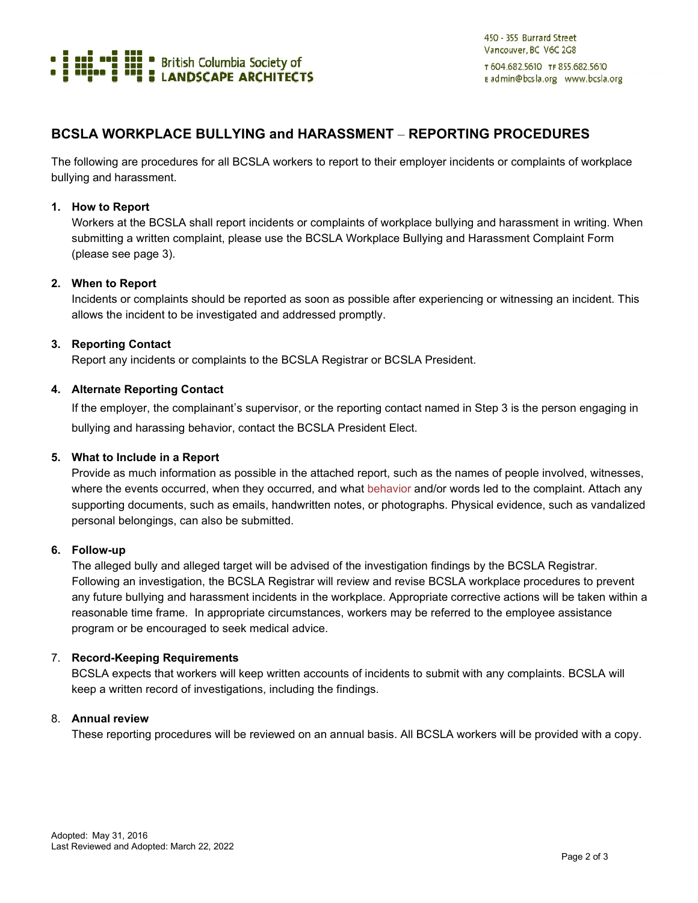

# **BCSLA WORKPLACE BULLYING and HARASSMENT** – **REPORTING PROCEDURES**

The following are procedures for all BCSLA workers to report to their employer incidents or complaints of workplace bullying and harassment.

#### **1. How to Report**

Workers at the BCSLA shall report incidents or complaints of workplace bullying and harassment in writing. When submitting a written complaint, please use the BCSLA Workplace Bullying and Harassment Complaint Form (please see page 3).

## **2. When to Report**

Incidents or complaints should be reported as soon as possible after experiencing or witnessing an incident. This allows the incident to be investigated and addressed promptly.

## **3. Reporting Contact**

Report any incidents or complaints to the BCSLA Registrar or BCSLA President.

## **4. Alternate Reporting Contact**

If the employer, the complainant's supervisor, or the reporting contact named in Step 3 is the person engaging in bullying and harassing behavior, contact the BCSLA President Elect.

## **5. What to Include in a Report**

Provide as much information as possible in the attached report, such as the names of people involved, witnesses, where the events occurred, when they occurred, and what behavior and/or words led to the complaint. Attach any supporting documents, such as emails, handwritten notes, or photographs. Physical evidence, such as vandalized personal belongings, can also be submitted.

#### **6. Follow-up**

The alleged bully and alleged target will be advised of the investigation findings by the BCSLA Registrar. Following an investigation, the BCSLA Registrar will review and revise BCSLA workplace procedures to prevent any future bullying and harassment incidents in the workplace. Appropriate corrective actions will be taken within a reasonable time frame. In appropriate circumstances, workers may be referred to the employee assistance program or be encouraged to seek medical advice.

#### 7. **Record-Keeping Requirements**

BCSLA expects that workers will keep written accounts of incidents to submit with any complaints. BCSLA will keep a written record of investigations, including the findings.

#### 8. **Annual review**

These reporting procedures will be reviewed on an annual basis. All BCSLA workers will be provided with a copy.